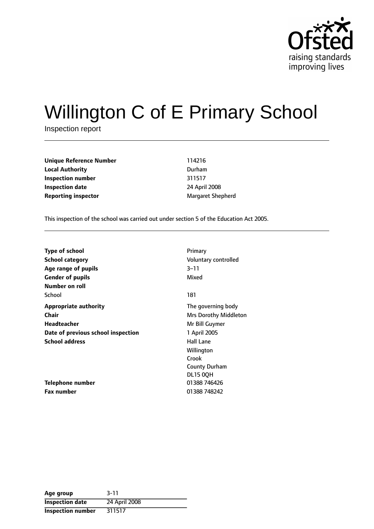

# Willington C of E Primary School

Inspection report

**Unique Reference Number** 114216 **Local Authority** Durham **Inspection number** 311517 **Inspection date** 24 April 2008 **Reporting inspector** Margaret Shepherd

This inspection of the school was carried out under section 5 of the Education Act 2005.

| <b>Type of school</b>              | Primary                      |
|------------------------------------|------------------------------|
| School category                    | Voluntary controlled         |
| Age range of pupils                | 3–11                         |
| <b>Gender of pupils</b>            | Mixed                        |
| Number on roll                     |                              |
| School                             | 181                          |
| <b>Appropriate authority</b>       | The governing body           |
| Chair                              | <b>Mrs Dorothy Middleton</b> |
| <b>Headteacher</b>                 | Mr Bill Guymer               |
| Date of previous school inspection | 1 April 2005                 |
| <b>School address</b>              | <b>Hall Lane</b>             |
|                                    | Willington                   |
|                                    | Crook                        |
|                                    | County Durham                |
|                                    | <b>DL15 0QH</b>              |
| Telephone number                   | 01388 746426                 |
| <b>Fax number</b>                  | 01388 748242                 |

| Age group                | $3 - 11$      |
|--------------------------|---------------|
| <b>Inspection date</b>   | 24 April 2008 |
| <b>Inspection number</b> | 311517        |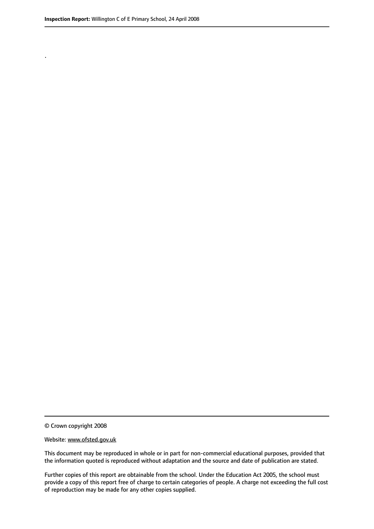.

© Crown copyright 2008

#### Website: www.ofsted.gov.uk

This document may be reproduced in whole or in part for non-commercial educational purposes, provided that the information quoted is reproduced without adaptation and the source and date of publication are stated.

Further copies of this report are obtainable from the school. Under the Education Act 2005, the school must provide a copy of this report free of charge to certain categories of people. A charge not exceeding the full cost of reproduction may be made for any other copies supplied.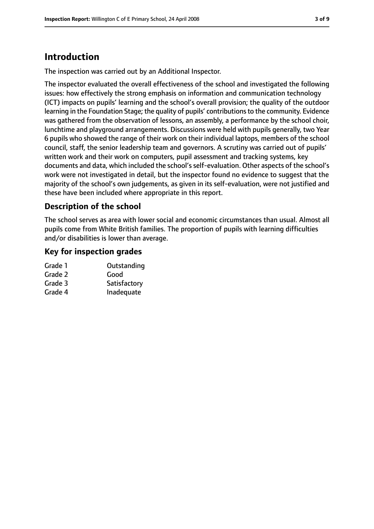# **Introduction**

The inspection was carried out by an Additional Inspector.

The inspector evaluated the overall effectiveness of the school and investigated the following issues: how effectively the strong emphasis on information and communication technology (ICT) impacts on pupils' learning and the school's overall provision; the quality of the outdoor learning in the Foundation Stage; the quality of pupils' contributions to the community. Evidence was gathered from the observation of lessons, an assembly, a performance by the school choir, lunchtime and playground arrangements. Discussions were held with pupils generally, two Year 6 pupils who showed the range of their work on their individual laptops, members of the school council, staff, the senior leadership team and governors. A scrutiny was carried out of pupils' written work and their work on computers, pupil assessment and tracking systems, key documents and data, which included the school's self-evaluation. Other aspects of the school's work were not investigated in detail, but the inspector found no evidence to suggest that the majority of the school's own judgements, as given in its self-evaluation, were not justified and these have been included where appropriate in this report.

# **Description of the school**

The school serves as area with lower social and economic circumstances than usual. Almost all pupils come from White British families. The proportion of pupils with learning difficulties and/or disabilities is lower than average.

## **Key for inspection grades**

| Outstanding  |
|--------------|
| Good         |
| Satisfactory |
| Inadequate   |
|              |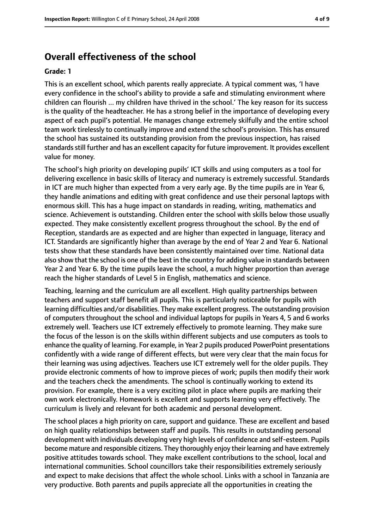# **Overall effectiveness of the school**

#### **Grade: 1**

This is an excellent school, which parents really appreciate. A typical comment was, 'I have every confidence in the school's ability to provide a safe and stimulating environment where children can flourish ... my children have thrived in the school.' The key reason for its success is the quality of the headteacher. He has a strong belief in the importance of developing every aspect of each pupil's potential. He manages change extremely skilfully and the entire school team work tirelessly to continually improve and extend the school's provision. This has ensured the school has sustained its outstanding provision from the previous inspection, has raised standards still further and has an excellent capacity for future improvement. It provides excellent value for money.

The school's high priority on developing pupils' ICT skills and using computers as a tool for delivering excellence in basic skills of literacy and numeracy is extremely successful. Standards in ICT are much higher than expected from a very early age. By the time pupils are in Year 6, they handle animations and editing with great confidence and use their personal laptops with enormous skill. This has a huge impact on standards in reading, writing, mathematics and science. Achievement is outstanding. Children enter the school with skills below those usually expected. They make consistently excellent progress throughout the school. By the end of Reception, standards are as expected and are higher than expected in language, literacy and ICT. Standards are significantly higher than average by the end of Year 2 and Year 6. National tests show that these standards have been consistently maintained over time. National data also show that the school is one of the best in the country for adding value in standards between Year 2 and Year 6. By the time pupils leave the school, a much higher proportion than average reach the higher standards of Level 5 in English, mathematics and science.

Teaching, learning and the curriculum are all excellent. High quality partnerships between teachers and support staff benefit all pupils. This is particularly noticeable for pupils with learning difficulties and/or disabilities. They make excellent progress. The outstanding provision of computers throughout the school and individual laptops for pupils in Years 4, 5 and 6 works extremely well. Teachers use ICT extremely effectively to promote learning. They make sure the focus of the lesson is on the skills within different subjects and use computers as tools to enhance the quality of learning. For example, in Year 2 pupils produced PowerPoint presentations confidently with a wide range of different effects, but were very clear that the main focus for their learning was using adjectives. Teachers use ICT extremely well for the older pupils. They provide electronic comments of how to improve pieces of work; pupils then modify their work and the teachers check the amendments. The school is continually working to extend its provision. For example, there is a very exciting pilot in place where pupils are marking their own work electronically. Homework is excellent and supports learning very effectively. The curriculum is lively and relevant for both academic and personal development.

The school places a high priority on care, support and guidance. These are excellent and based on high quality relationships between staff and pupils. This results in outstanding personal development with individuals developing very high levels of confidence and self-esteem. Pupils become mature and responsible citizens. They thoroughly enjoy their learning and have extremely positive attitudes towards school. They make excellent contributions to the school, local and international communities. School councillors take their responsibilities extremely seriously and expect to make decisions that affect the whole school. Links with a school in Tanzania are very productive. Both parents and pupils appreciate all the opportunities in creating the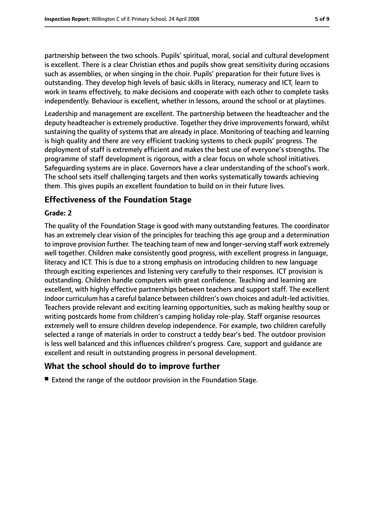partnership between the two schools. Pupils' spiritual, moral, social and cultural development is excellent. There is a clear Christian ethos and pupils show great sensitivity during occasions such as assemblies, or when singing in the choir. Pupils' preparation for their future lives is outstanding. They develop high levels of basic skills in literacy, numeracy and ICT, learn to work in teams effectively, to make decisions and cooperate with each other to complete tasks independently. Behaviour is excellent, whether in lessons, around the school or at playtimes.

Leadership and management are excellent. The partnership between the headteacher and the deputy headteacher is extremely productive. Together they drive improvements forward, whilst sustaining the quality of systems that are already in place. Monitoring of teaching and learning is high quality and there are very efficient tracking systems to check pupils' progress. The deployment of staff is extremely efficient and makes the best use of everyone's strengths. The programme of staff development is rigorous, with a clear focus on whole school initiatives. Safeguarding systems are in place. Governors have a clear understanding of the school's work. The school sets itself challenging targets and then works systematically towards achieving them. This gives pupils an excellent foundation to build on in their future lives.

# **Effectiveness of the Foundation Stage**

#### **Grade: 2**

The quality of the Foundation Stage is good with many outstanding features. The coordinator has an extremely clear vision of the principles for teaching this age group and a determination to improve provision further. The teaching team of new and longer-serving staff work extremely well together. Children make consistently good progress, with excellent progress in language, literacy and ICT. This is due to a strong emphasis on introducing children to new language through exciting experiences and listening very carefully to their responses. ICT provision is outstanding. Children handle computers with great confidence. Teaching and learning are excellent, with highly effective partnerships between teachers and support staff. The excellent indoor curriculum has a careful balance between children's own choices and adult-led activities. Teachers provide relevant and exciting learning opportunities, such as making healthy soup or writing postcards home from children's camping holiday role-play. Staff organise resources extremely well to ensure children develop independence. For example, two children carefully selected a range of materials in order to construct a teddy bear's bed. The outdoor provision is less well balanced and this influences children's progress. Care, support and guidance are excellent and result in outstanding progress in personal development.

# **What the school should do to improve further**

■ Extend the range of the outdoor provision in the Foundation Stage.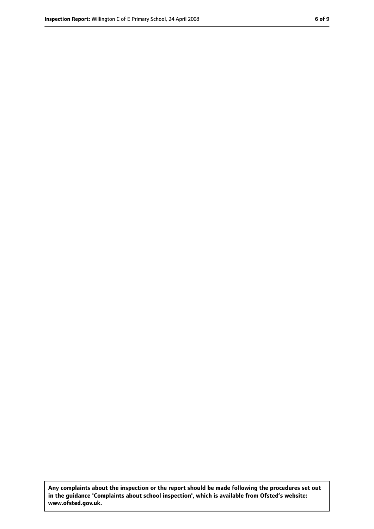**Any complaints about the inspection or the report should be made following the procedures set out in the guidance 'Complaints about school inspection', which is available from Ofsted's website: www.ofsted.gov.uk.**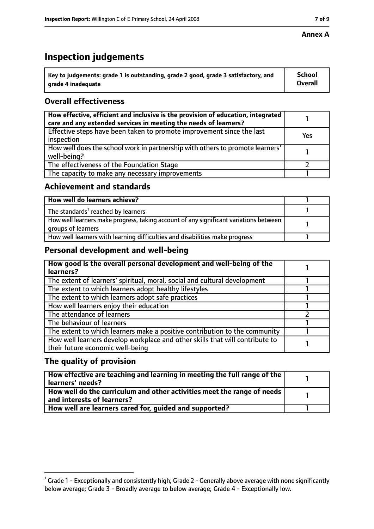## **Annex A**

# **Inspection judgements**

| Key to judgements: grade 1 is outstanding, grade 2 good, grade 3 satisfactory, and | <b>School</b>  |
|------------------------------------------------------------------------------------|----------------|
| arade 4 inadequate                                                                 | <b>Overall</b> |

# **Overall effectiveness**

| How effective, efficient and inclusive is the provision of education, integrated<br>care and any extended services in meeting the needs of learners? |     |
|------------------------------------------------------------------------------------------------------------------------------------------------------|-----|
| Effective steps have been taken to promote improvement since the last<br>inspection                                                                  | Yes |
| How well does the school work in partnership with others to promote learners'<br>well-being?                                                         |     |
| The effectiveness of the Foundation Stage                                                                                                            |     |
| The capacity to make any necessary improvements                                                                                                      |     |

## **Achievement and standards**

| How well do learners achieve?                                                                               |  |
|-------------------------------------------------------------------------------------------------------------|--|
| The standards <sup>1</sup> reached by learners                                                              |  |
| How well learners make progress, taking account of any significant variations between<br>groups of learners |  |
| How well learners with learning difficulties and disabilities make progress                                 |  |

# **Personal development and well-being**

| How good is the overall personal development and well-being of the<br>learners?                                  |  |
|------------------------------------------------------------------------------------------------------------------|--|
| The extent of learners' spiritual, moral, social and cultural development                                        |  |
| The extent to which learners adopt healthy lifestyles                                                            |  |
| The extent to which learners adopt safe practices                                                                |  |
| How well learners enjoy their education                                                                          |  |
| The attendance of learners                                                                                       |  |
| The behaviour of learners                                                                                        |  |
| The extent to which learners make a positive contribution to the community                                       |  |
| How well learners develop workplace and other skills that will contribute to<br>their future economic well-being |  |

# **The quality of provision**

| How effective are teaching and learning in meeting the full range of the<br>learners' needs?          |  |
|-------------------------------------------------------------------------------------------------------|--|
| How well do the curriculum and other activities meet the range of needs<br>and interests of learners? |  |
| How well are learners cared for, quided and supported?                                                |  |

 $^1$  Grade 1 - Exceptionally and consistently high; Grade 2 - Generally above average with none significantly below average; Grade 3 - Broadly average to below average; Grade 4 - Exceptionally low.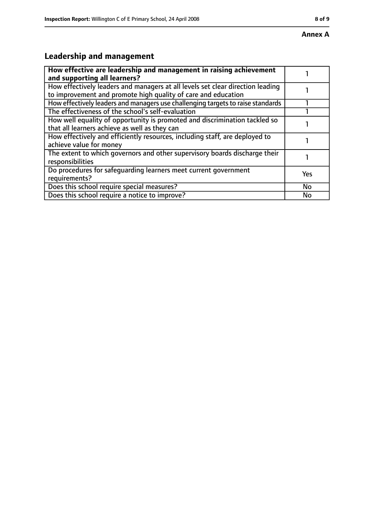# **Leadership and management**

| How effective are leadership and management in raising achievement<br>and supporting all learners?                                              |     |
|-------------------------------------------------------------------------------------------------------------------------------------------------|-----|
| How effectively leaders and managers at all levels set clear direction leading<br>to improvement and promote high quality of care and education |     |
| How effectively leaders and managers use challenging targets to raise standards                                                                 |     |
| The effectiveness of the school's self-evaluation                                                                                               |     |
| How well equality of opportunity is promoted and discrimination tackled so<br>that all learners achieve as well as they can                     |     |
| How effectively and efficiently resources, including staff, are deployed to<br>achieve value for money                                          |     |
| The extent to which governors and other supervisory boards discharge their<br>responsibilities                                                  |     |
| Do procedures for safequarding learners meet current government<br>requirements?                                                                | Yes |
| Does this school require special measures?                                                                                                      | No  |
| Does this school require a notice to improve?                                                                                                   | No  |